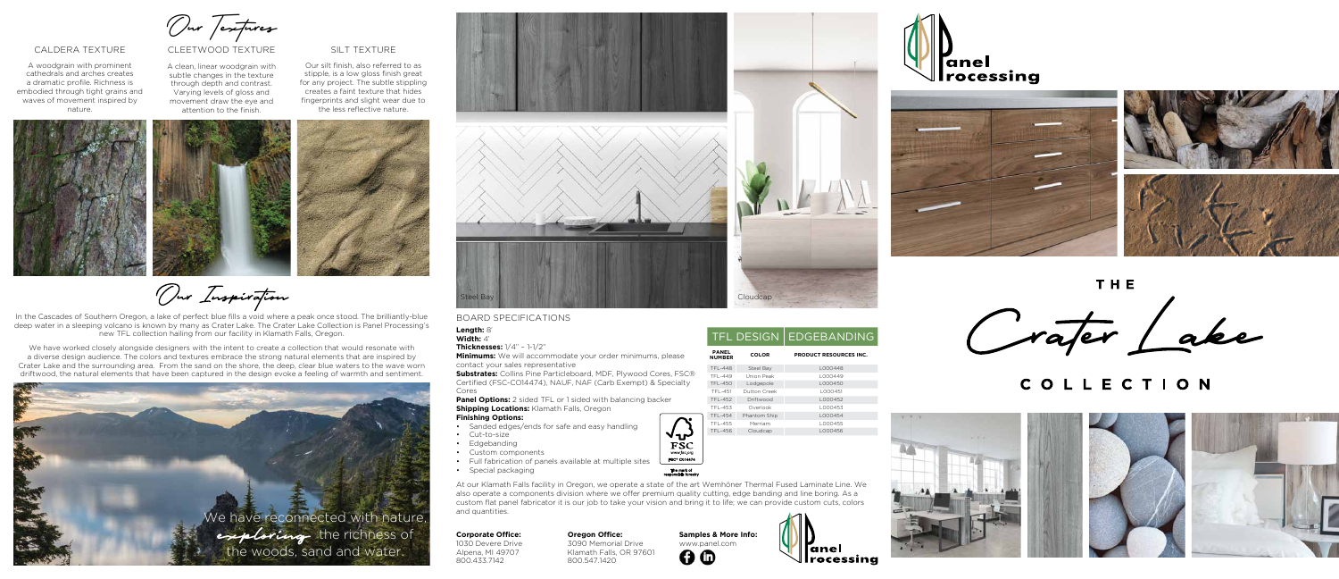Our Textures

CLEETWOOD TEXTURE

#### **Corporate Office:**

1030 Devere Drive Alpena, MI 49707 800.433.7142

# caldera texture

A woodgrain with prominent cathedrals and arches creates a dramatic profile. Richness is embodied through tight grains and waves of movement inspired by nature.

# silt texture

**Samples & More Info:** www.panel.com  $QQ$ 









THE Crafer Lake

Our silt finish, also referred to as stipple, is a low gloss finish great for any project. The subtle stippling creates a faint texture that hides fingerprints and slight wear due to the less reflective nature.

# COLLECTION





Our Inspiration







movement draw the eye and attention to the finish.

### **Oregon Office:**

3090 Memorial Drive Klamath Falls, OR 97601 800.547.1420

We have worked closely alongside designers with the intent to create a collection that would resonate with a diverse design audience. The colors and textures embrace the strong natural elements that are inspired by Crater Lake and the surrounding area. From the sand on the shore, the deep, clear blue waters to the wave worn driftwood, the natural elements that have been captured in the design evoke a feeling of warmth and sentiment.

**Substrates:** Collins Pine Particleboard, MDF, Plywood Cores, FS Certified (FSC-CO14474), NAUF, NAF (Carb Exempt) & Specialty Cores

In the Cascades of Southern Oregon, a lake of perfect blue fills a void where a peak once stood. The brilliantly-blue deep water in a sleeping volcano is known by many as Crater Lake. The Crater Lake Collection is Panel Processing's new TFL collection hailing from our facility in Klamath Falls, Oregon.

> **Panel Options:** 2 sided TFL or 1 sided with balancing backer **Shipping Locations: Klamath Falls, Oregon Finishing Options:**

TFL-455 Merriam L000455 TFL-456 Cloudcap L000456

# The mark of<br>responsible forestry

## board specifications

**Length:** 8' **Width:** 4'

**Thicknesses:** 1/4" – 1-1/2"

**Minimums:** We will accommodate your order minimums, please contact your sales representative

- Sanded edges/ends for safe and easy handling
- Cut-to-size
- Edgebanding
- Custom components
- Full fabrication of panels available at multiple sites
- Special packaging

At our Klamath Falls facility in Oregon, we operate a state of the art Wemhöner Thermal Fused Laminate Line. We also operate a components division where we offer premium quality cutting, edge banding and line boring. As a custom flat panel fabricator it is our job to take your vision and bring it to life; we can provide custom cuts, colors and quantities.

|          |                               |                     | <b>TFL DESIGN   EDGEBANDING</b> |
|----------|-------------------------------|---------------------|---------------------------------|
|          | <b>PANEL</b><br><b>NUMBER</b> | <b>COLOR</b>        | <b>PRODUCT RESOURCES INC.</b>   |
| C®<br>ty | <b>TFL-448</b>                | Steel Bay           | L000448                         |
|          | TFI-449                       | Union Peak          | L000449                         |
|          | <b>TFL-450</b>                | Lodgepole           | L000450                         |
|          | $TFI - 451$                   | <b>Dutton Creek</b> | L000451                         |
|          | <b>TFL-452</b>                | Driftwood           | L000452                         |
|          | TFL-453                       | Overlook            | L000453                         |
|          | <b>TFL-454</b>                | Phantom Ship        | L000454                         |
|          | TEL AEE                       | Marriam             | L OOO JEE                       |